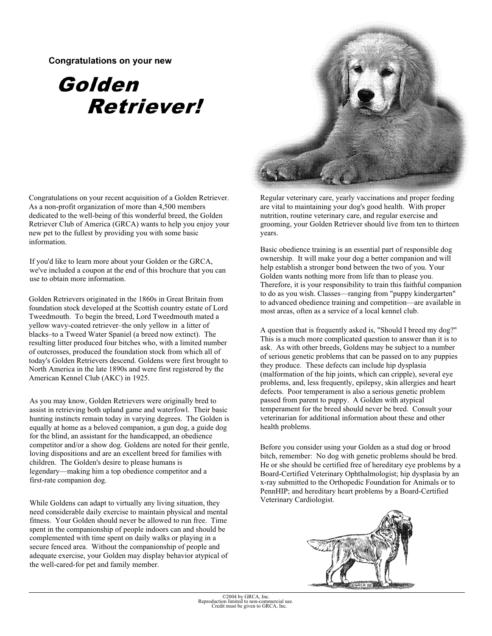## Congratulations on your new

## Golden **Retriever!**

**Congratulations on your recent acquisition of a Golden Retriever. As a non-profit organization of more than 4,500 members dedicated to the well-being of this wonderful breed, the Golden Retriever Club of America (GRCA) wants to help you enjoy your new pet to the fullest by providing you with some basic information.** 

**If you'd like to learn more about your Golden or the GRCA, we've included a coupon at the end of this brochure that you can use to obtain more information.** 

**Golden Retrievers originated in the 1860s in Great Britain from foundation stock developed at the Scottish country estate of Lord Tweedmouth. To begin the breed, Lord Tweedmouth mated a yellow wavy-coated retriever–the only yellow in a litter of blacks–to a Tweed Water Spaniel (a breed now extinct). The resulting litter produced four bitches who, with a limited number of outcrosses, produced the foundation stock from which all of today's Golden Retrievers descend. Goldens were first brought to North America in the late 1890s and were first registered by the American Kennel Club (AKC) in 1925.** 

**As you may know, Golden Retrievers were originally bred to assist in retrieving both upland game and waterfowl. Their basic hunting instincts remain today in varying degrees. The Golden is equally at home as a beloved companion, a gun dog, a guide dog for the blind, an assistant for the handicapped, an obedience competitor and/or a show dog. Goldens are noted for their gentle, loving dispositions and are an excellent breed for families with children. The Golden's desire to please humans is legendary—making him a top obedience competitor and a first-rate companion dog.** 

While Goldens can adapt to virtually any living situation, they **Veterinary Cardiologist. need considerable daily exercise to maintain physical and mental fitness. Your Golden should never be allowed to run free. Time spent in the companionship of people indoors can and should be complemented with time spent on daily walks or playing in a secure fenced area. Without the companionship of people and adequate exercise, your Golden may display behavior atypical of the well-cared-for pet and family member.** 



**Regular veterinary care, yearly vaccinations and proper feeding are vital to maintaining your dog's good health. With proper nutrition, routine veterinary care, and regular exercise and grooming, your Golden Retriever should live from ten to thirteen years.** 

**Basic obedience training is an essential part of responsible dog ownership. It will make your dog a better companion and will help establish a stronger bond between the two of you. Your Golden wants nothing more from life than to please you. Therefore, it is your responsibility to train this faithful companion to do as you wish. Classes—ranging from "puppy kindergarten" to advanced obedience training and competition—are available in most areas, often as a service of a local kennel club.** 

**A question that is frequently asked is, "Should I breed my dog?" This is a much more complicated question to answer than it is to ask. As with other breeds, Goldens may be subject to a number of serious genetic problems that can be passed on to any puppies they produce. These defects can include hip dysplasia (malformation of the hip joints, which can cripple), several eye problems, and, less frequently, epilepsy, skin allergies and heart defects. Poor temperament is also a serious genetic problem passed from parent to puppy. A Golden with atypical temperament for the breed should never be bred. Consult your veterinarian for additional information about these and other health problems.** 

**Before you consider using your Golden as a stud dog or brood bitch, remember: No dog with genetic problems should be bred. He or she should be certified free of hereditary eye problems by a Board-Certified Veterinary Ophthalmologist; hip dysplasia by an x-ray submitted to the Orthopedic Foundation for Animals or to PennHIP; and hereditary heart problems by a Board-Certified**